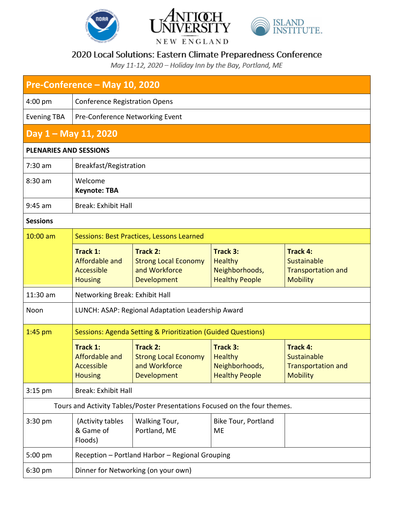





NEW ENGLAND

## 2020 Local Solutions: Eastern Climate Preparedness Conference

May 11-12, 2020 - Holiday Inn by the Bay, Portland, ME

| Pre-Conference - May 10, 2020                                              |                                                                         |                                                                             |                                                                              |                                                                                |  |  |  |
|----------------------------------------------------------------------------|-------------------------------------------------------------------------|-----------------------------------------------------------------------------|------------------------------------------------------------------------------|--------------------------------------------------------------------------------|--|--|--|
| $4:00$ pm                                                                  | <b>Conference Registration Opens</b>                                    |                                                                             |                                                                              |                                                                                |  |  |  |
| <b>Evening TBA</b>                                                         | Pre-Conference Networking Event                                         |                                                                             |                                                                              |                                                                                |  |  |  |
| Day 1 - May 11, 2020                                                       |                                                                         |                                                                             |                                                                              |                                                                                |  |  |  |
| <b>PLENARIES AND SESSIONS</b>                                              |                                                                         |                                                                             |                                                                              |                                                                                |  |  |  |
| $7:30$ am                                                                  | Breakfast/Registration                                                  |                                                                             |                                                                              |                                                                                |  |  |  |
| 8:30 am                                                                    | Welcome<br><b>Keynote: TBA</b>                                          |                                                                             |                                                                              |                                                                                |  |  |  |
| $9:45$ am                                                                  | <b>Break: Exhibit Hall</b>                                              |                                                                             |                                                                              |                                                                                |  |  |  |
| <b>Sessions</b>                                                            |                                                                         |                                                                             |                                                                              |                                                                                |  |  |  |
| $10:00$ am                                                                 | Sessions: Best Practices, Lessons Learned                               |                                                                             |                                                                              |                                                                                |  |  |  |
|                                                                            | Track 1:<br>Affordable and<br>Accessible<br><b>Housing</b>              | Track 2:<br><b>Strong Local Economy</b><br>and Workforce<br>Development     | <b>Track 3:</b><br><b>Healthy</b><br>Neighborhoods,<br><b>Healthy People</b> | <b>Track 4:</b><br>Sustainable<br><b>Transportation and</b><br><b>Mobility</b> |  |  |  |
| 11:30 am                                                                   | Networking Break: Exhibit Hall                                          |                                                                             |                                                                              |                                                                                |  |  |  |
| Noon                                                                       | LUNCH: ASAP: Regional Adaptation Leadership Award                       |                                                                             |                                                                              |                                                                                |  |  |  |
| $1:45$ pm                                                                  | <b>Sessions: Agenda Setting &amp; Prioritization (Guided Questions)</b> |                                                                             |                                                                              |                                                                                |  |  |  |
|                                                                            | <b>Track 1:</b><br>Affordable and<br>Accessible<br><b>Housing</b>       | Track 2:<br><b>Strong Local Economy</b><br>and Workforce and<br>Development | <b>Track 3:</b><br><b>Healthy</b><br>Neighborhoods,<br><b>Healthy People</b> | <b>Track 4:</b><br>Sustainable<br><b>Transportation and</b><br><b>Mobility</b> |  |  |  |
| $3:15$ pm                                                                  | <b>Break: Exhibit Hall</b>                                              |                                                                             |                                                                              |                                                                                |  |  |  |
| Tours and Activity Tables/Poster Presentations Focused on the four themes. |                                                                         |                                                                             |                                                                              |                                                                                |  |  |  |
| $3:30$ pm                                                                  | (Activity tables<br>& Game of<br>Floods)                                | Walking Tour,<br>Portland, ME                                               | <b>Bike Tour, Portland</b><br><b>ME</b>                                      |                                                                                |  |  |  |
| 5:00 pm                                                                    | Reception - Portland Harbor - Regional Grouping                         |                                                                             |                                                                              |                                                                                |  |  |  |
| 6:30 pm                                                                    | Dinner for Networking (on your own)                                     |                                                                             |                                                                              |                                                                                |  |  |  |